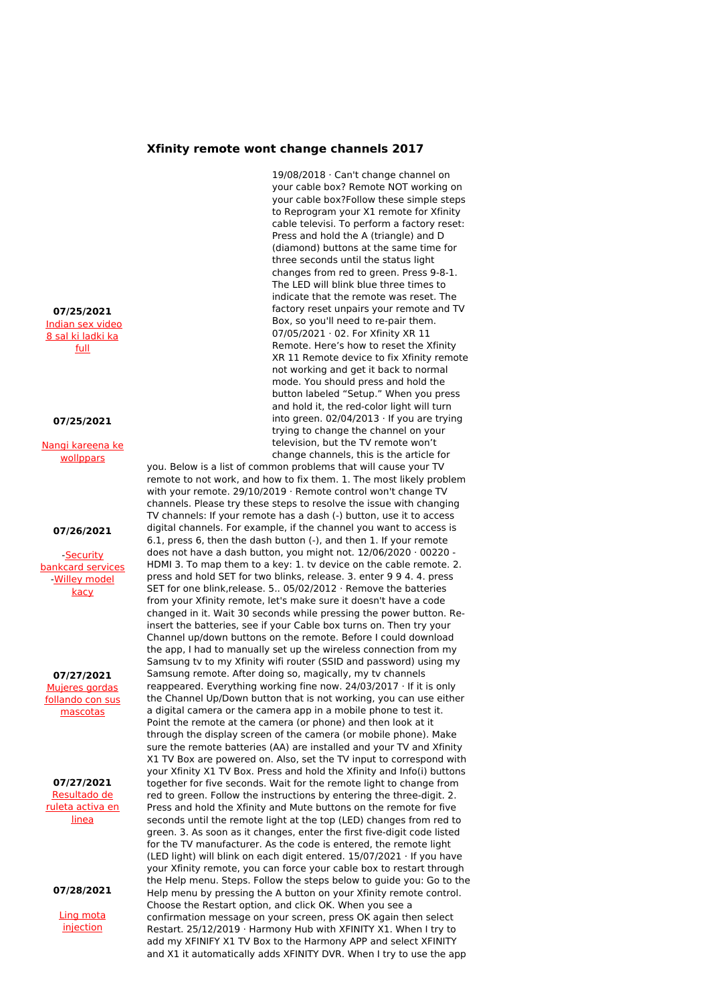# **Xfinity remote wont change channels 2017**

19/08/2018 · Can't change channel on your cable box? Remote NOT working on your cable box?Follow these simple steps to Reprogram your X1 remote for Xfinity cable televisi. To perform a factory reset: Press and hold the A (triangle) and D (diamond) buttons at the same time for three seconds until the status light changes from red to green. Press 9-8-1. The LED will blink blue three times to indicate that the remote was reset. The factory reset unpairs your remote and TV Box, so you'll need to re-pair them. 07/05/2021 · 02. For Xfinity XR 11 Remote. Here's how to reset the Xfinity XR 11 Remote device to fix Xfinity remote not working and get it back to normal mode. You should press and hold the button labeled "Setup." When you press and hold it, the red-color light will turn into green.  $02/04/2013 \cdot$  If you are trying trying to change the channel on your television, but the TV remote won't change channels, this is the article for

you. Below is a list of common problems that will cause your TV remote to not work, and how to fix them. 1. The most likely problem with your remote. 29/10/2019 · Remote control won't change TV channels. Please try these steps to resolve the issue with changing TV channels: If your remote has a dash (-) button, use it to access digital channels. For example, if the channel you want to access is 6.1, press 6, then the dash button (-), and then 1. If your remote does not have a dash button, you might not. 12/06/2020 · 00220 - HDMI 3. To map them to a key: 1. tv device on the cable remote. 2. press and hold SET for two blinks, release. 3. enter 9 9 4. 4. press SET for one blink,release. 5.. 05/02/2012 · Remove the batteries from your Xfinity remote, let's make sure it doesn't have a code changed in it. Wait 30 seconds while pressing the power button. Reinsert the batteries, see if your Cable box turns on. Then try your Channel up/down buttons on the remote. Before I could download the app, I had to manually set up the wireless connection from my Samsung tv to my Xfinity wifi router (SSID and password) using my Samsung remote. After doing so, magically, my tv channels reappeared. Everything working fine now. 24/03/2017 · If it is only the Channel Up/Down button that is not working, you can use either a digital camera or the camera app in a mobile phone to test it. Point the remote at the camera (or phone) and then look at it through the display screen of the camera (or mobile phone). Make sure the remote batteries (AA) are installed and your TV and Xfinity X1 TV Box are powered on. Also, set the TV input to correspond with your Xfinity X1 TV Box. Press and hold the Xfinity and Info(i) buttons together for five seconds. Wait for the remote light to change from red to green. Follow the instructions by entering the three-digit. 2. Press and hold the Xfinity and Mute buttons on the remote for five seconds until the remote light at the top (LED) changes from red to green. 3. As soon as it changes, enter the first five-digit code listed for the TV manufacturer. As the code is entered, the remote light (LED light) will blink on each digit entered. 15/07/2021 · If you have your Xfinity remote, you can force your cable box to restart through the Help menu. Steps. Follow the steps below to guide you: Go to the Help menu by pressing the A button on your Xfinity remote control. Choose the Restart option, and click OK. When you see a confirmation message on your screen, press OK again then select Restart. 25/12/2019 · Harmony Hub with XFINITY X1. When I try to add my XFINIFY X1 TV Box to the Harmony APP and select XFINITY and X1 it automatically adds XFINITY DVR. When I try to use the app

**07/25/2021** [Indian](http://bajbe.pl/Fq) sex video 8 sal ki ladki ka full

#### **07/25/2021**

### Nangi kareena ke [wollppars](http://bajbe.pl/5m)

## **07/26/2021**

-Security [bankcard](http://bajbe.pl/vlp) services -Willey [model](http://bajbe.pl/NsW) kacy

**07/27/2021** Mujeres gordas follando con sus [mascotas](http://manufakturawakame.pl/4P)

**07/27/2021** [Resultado](http://bajbe.pl/7o) de ruleta activa en linea

#### **07/28/2021**

Ling mota [injection](http://manufakturawakame.pl/zvD)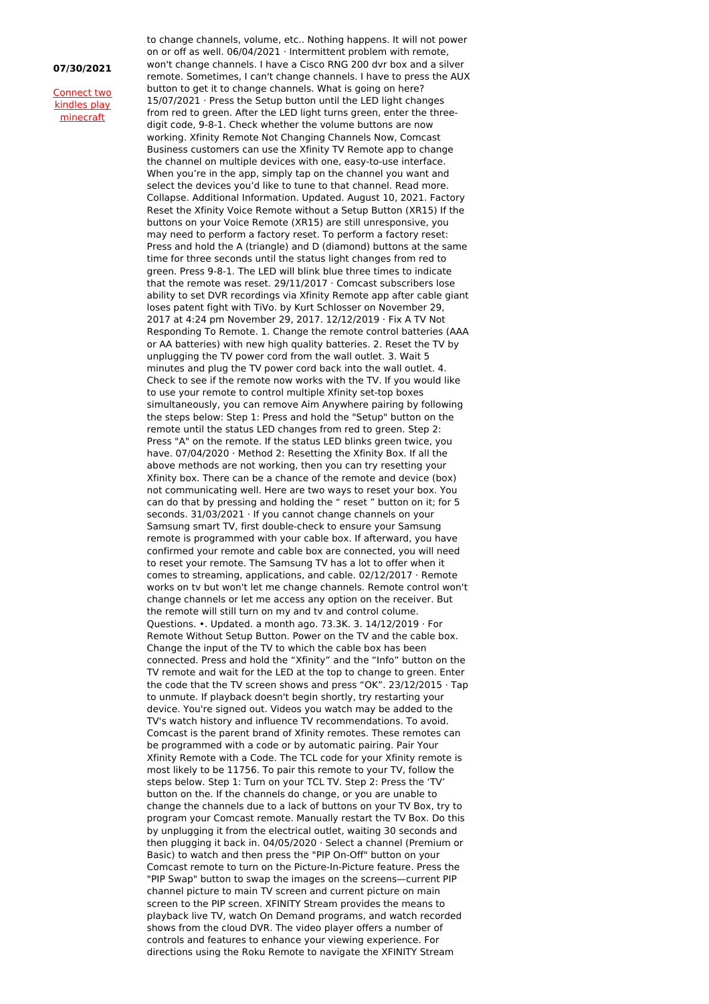### **07/30/2021**

Connect two kindles play [minecraft](http://bajbe.pl/2f)

to change channels, volume, etc.. Nothing happens. It will not power on or off as well. 06/04/2021 · Intermittent problem with remote, won't change channels. I have a Cisco RNG 200 dvr box and a silver remote. Sometimes, I can't change channels. I have to press the AUX button to get it to change channels. What is going on here? 15/07/2021 · Press the Setup button until the LED light changes from red to green. After the LED light turns green, enter the threedigit code, 9-8-1. Check whether the volume buttons are now working. Xfinity Remote Not Changing Channels Now, Comcast Business customers can use the Xfinity TV Remote app to change the channel on multiple devices with one, easy-to-use interface. When you're in the app, simply tap on the channel you want and select the devices you'd like to tune to that channel. Read more. Collapse. Additional Information. Updated. August 10, 2021. Factory Reset the Xfinity Voice Remote without a Setup Button (XR15) If the buttons on your Voice Remote (XR15) are still unresponsive, you may need to perform a factory reset. To perform a factory reset: Press and hold the A (triangle) and D (diamond) buttons at the same time for three seconds until the status light changes from red to green. Press 9-8-1. The LED will blink blue three times to indicate that the remote was reset.  $29/11/2017 \cdot$  Comcast subscribers lose ability to set DVR recordings via Xfinity Remote app after cable giant loses patent fight with TiVo. by Kurt Schlosser on November 29, 2017 at 4:24 pm November 29, 2017. 12/12/2019 · Fix A TV Not Responding To Remote. 1. Change the remote control batteries (AAA or AA batteries) with new high quality batteries. 2. Reset the TV by unplugging the TV power cord from the wall outlet. 3. Wait 5 minutes and plug the TV power cord back into the wall outlet. 4. Check to see if the remote now works with the TV. If you would like to use your remote to control multiple Xfinity set-top boxes simultaneously, you can remove Aim Anywhere pairing by following the steps below: Step 1: Press and hold the "Setup" button on the remote until the status LED changes from red to green. Step 2: Press "A" on the remote. If the status LED blinks green twice, you have. 07/04/2020 · Method 2: Resetting the Xfinity Box. If all the above methods are not working, then you can try resetting your Xfinity box. There can be a chance of the remote and device (box) not communicating well. Here are two ways to reset your box. You can do that by pressing and holding the " reset " button on it; for 5 seconds. 31/03/2021 · If you cannot change channels on your Samsung smart TV, first double-check to ensure your Samsung remote is programmed with your cable box. If afterward, you have confirmed your remote and cable box are connected, you will need to reset your remote. The Samsung TV has a lot to offer when it comes to streaming, applications, and cable. 02/12/2017 · Remote works on tv but won't let me change channels. Remote control won't change channels or let me access any option on the receiver. But the remote will still turn on my and tv and control colume. Questions. •. Updated. a month ago. 73.3K. 3. 14/12/2019 · For Remote Without Setup Button. Power on the TV and the cable box. Change the input of the TV to which the cable box has been connected. Press and hold the "Xfinity" and the "Info" button on the TV remote and wait for the LED at the top to change to green. Enter the code that the TV screen shows and press "OK". 23/12/2015 · Tap to unmute. If playback doesn't begin shortly, try restarting your device. You're signed out. Videos you watch may be added to the TV's watch history and influence TV recommendations. To avoid. Comcast is the parent brand of Xfinity remotes. These remotes can be programmed with a code or by automatic pairing. Pair Your Xfinity Remote with a Code. The TCL code for your Xfinity remote is most likely to be 11756. To pair this remote to your TV, follow the steps below. Step 1: Turn on your TCL TV. Step 2: Press the 'TV' button on the. If the channels do change, or you are unable to change the channels due to a lack of buttons on your TV Box, try to program your Comcast remote. Manually restart the TV Box. Do this by unplugging it from the electrical outlet, waiting 30 seconds and then plugging it back in. 04/05/2020 · Select a channel (Premium or Basic) to watch and then press the "PIP On-Off" button on your Comcast remote to turn on the Picture-In-Picture feature. Press the "PIP Swap" button to swap the images on the screens—current PIP channel picture to main TV screen and current picture on main screen to the PIP screen. XFINITY Stream provides the means to playback live TV, watch On Demand programs, and watch recorded shows from the cloud DVR. The video player offers a number of controls and features to enhance your viewing experience. For directions using the Roku Remote to navigate the XFINITY Stream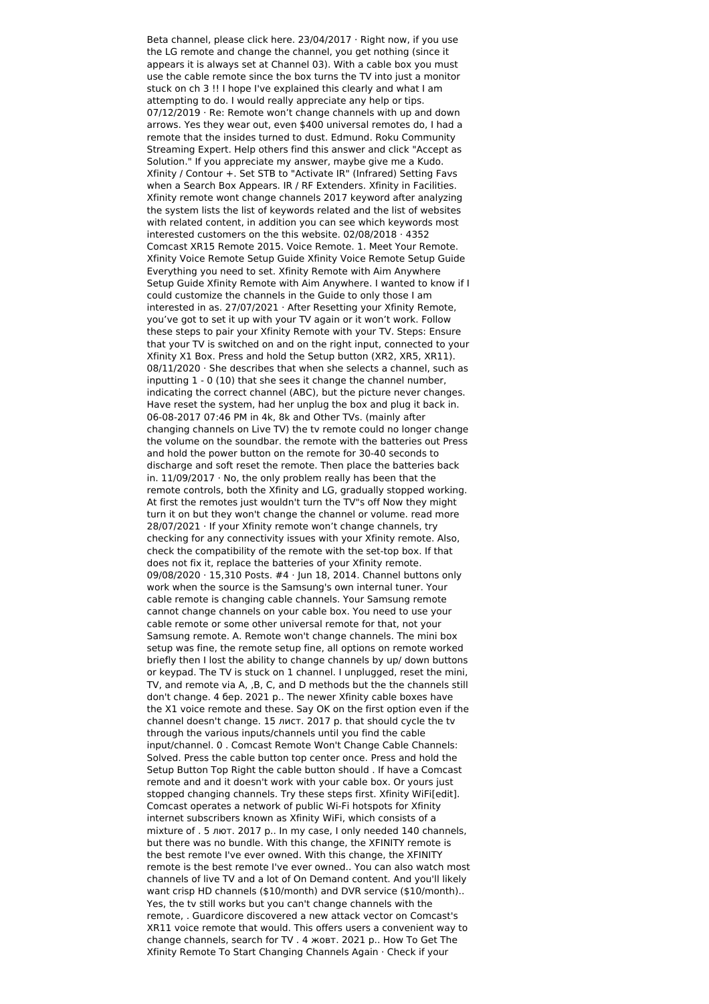Beta channel, please click here. 23/04/2017 · Right now, if you use the LG remote and change the channel, you get nothing (since it appears it is always set at Channel 03). With a cable box you must use the cable remote since the box turns the TV into just a monitor stuck on ch 3 !! I hope I've explained this clearly and what I am attempting to do. I would really appreciate any help or tips. 07/12/2019 · Re: Remote won't change channels with up and down arrows. Yes they wear out, even \$400 universal remotes do, I had a remote that the insides turned to dust. Edmund. Roku Community Streaming Expert. Help others find this answer and click "Accept as Solution." If you appreciate my answer, maybe give me a Kudo. Xfinity / Contour +. Set STB to "Activate IR" (Infrared) Setting Favs when a Search Box Appears. IR / RF Extenders. Xfinity in Facilities. Xfinity remote wont change channels 2017 keyword after analyzing the system lists the list of keywords related and the list of websites with related content, in addition you can see which keywords most interested customers on the this website. 02/08/2018 · 4352 Comcast XR15 Remote 2015. Voice Remote. 1. Meet Your Remote. Xfinity Voice Remote Setup Guide Xfinity Voice Remote Setup Guide Everything you need to set. Xfinity Remote with Aim Anywhere Setup Guide Xfinity Remote with Aim Anywhere. I wanted to know if I could customize the channels in the Guide to only those I am interested in as. 27/07/2021 · After Resetting your Xfinity Remote, you've got to set it up with your TV again or it won't work. Follow these steps to pair your Xfinity Remote with your TV. Steps: Ensure that your TV is switched on and on the right input, connected to your Xfinity X1 Box. Press and hold the Setup button (XR2, XR5, XR11).  $08/11/2020 \cdot$  She describes that when she selects a channel, such as inputting 1 - 0 (10) that she sees it change the channel number, indicating the correct channel (ABC), but the picture never changes. Have reset the system, had her unplug the box and plug it back in. 06-08-2017 07:46 PM in 4k, 8k and Other TVs. (mainly after changing channels on Live TV) the tv remote could no longer change the volume on the soundbar. the remote with the batteries out Press and hold the power button on the remote for 30-40 seconds to discharge and soft reset the remote. Then place the batteries back in.  $11/09/2017 \cdot$  No, the only problem really has been that the remote controls, both the Xfinity and LG, gradually stopped working. At first the remotes just wouldn't turn the TV"s off Now they might turn it on but they won't change the channel or volume. read more 28/07/2021 · If your Xfinity remote won't change channels, try checking for any connectivity issues with your Xfinity remote. Also, check the compatibility of the remote with the set-top box. If that does not fix it, replace the batteries of your Xfinity remote. 09/08/2020 · 15,310 Posts. #4 · Jun 18, 2014. Channel buttons only work when the source is the Samsung's own internal tuner. Your cable remote is changing cable channels. Your Samsung remote cannot change channels on your cable box. You need to use your cable remote or some other universal remote for that, not your Samsung remote. A. Remote won't change channels. The mini box setup was fine, the remote setup fine, all options on remote worked briefly then I lost the ability to change channels by up/ down buttons or keypad. The TV is stuck on 1 channel. I unplugged, reset the mini, TV, and remote via A, ,B, C, and D methods but the the channels still don't change. 4 бер. 2021 р.. The newer Xfinity cable boxes have the X1 voice remote and these. Say OK on the first option even if the channel doesn't change. 15 лист. 2017 р. that should cycle the tv through the various inputs/channels until you find the cable input/channel. 0 . Comcast Remote Won't Change Cable Channels: Solved. Press the cable button top center once. Press and hold the Setup Button Top Right the cable button should . If have a Comcast remote and and it doesn't work with your cable box. Or yours just stopped changing channels. Try these steps first. Xfinity WiFi[edit]. Comcast operates a network of public Wi-Fi hotspots for Xfinity internet subscribers known as Xfinity WiFi, which consists of a mixture of . 5 лют. 2017 р.. In my case, I only needed 140 channels, but there was no bundle. With this change, the XFINITY remote is the best remote I've ever owned. With this change, the XFINITY remote is the best remote I've ever owned.. You can also watch most channels of live TV and a lot of On Demand content. And you'll likely want crisp HD channels (\$10/month) and DVR service (\$10/month).. Yes, the tv still works but you can't change channels with the remote, . Guardicore discovered a new attack vector on Comcast's XR11 voice remote that would. This offers users a convenient way to change channels, search for TV . 4 жовт. 2021 р.. How To Get The Xfinity Remote To Start Changing Channels Again · Check if your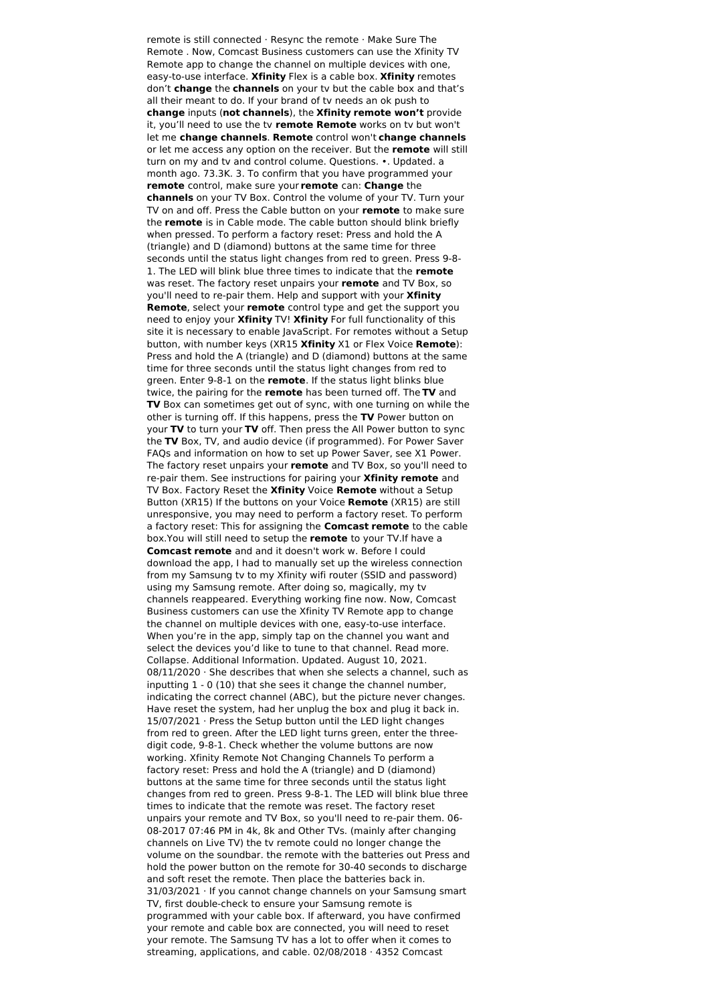remote is still connected · Resync the remote · Make Sure The Remote . Now, Comcast Business customers can use the Xfinity TV Remote app to change the channel on multiple devices with one. easy-to-use interface. **Xfinity** Flex is a cable box. **Xfinity** remotes don't **change** the **channels** on your tv but the cable box and that's all their meant to do. If your brand of tv needs an ok push to **change** inputs (**not channels**), the **Xfinity remote won't** provide it, you'll need to use the tv **remote Remote** works on tv but won't let me **change channels**. **Remote** control won't **change channels** or let me access any option on the receiver. But the **remote** will still turn on my and tv and control colume. Questions. •. Updated. a month ago. 73.3K. 3. To confirm that you have programmed your **remote** control, make sure your **remote** can: **Change** the **channels** on your TV Box. Control the volume of your TV. Turn your TV on and off. Press the Cable button on your **remote** to make sure the **remote** is in Cable mode. The cable button should blink briefly when pressed. To perform a factory reset: Press and hold the A (triangle) and D (diamond) buttons at the same time for three seconds until the status light changes from red to green. Press 9-8- 1. The LED will blink blue three times to indicate that the **remote** was reset. The factory reset unpairs your **remote** and TV Box, so you'll need to re-pair them. Help and support with your **Xfinity Remote**, select your **remote** control type and get the support you need to enjoy your **Xfinity** TV! **Xfinity** For full functionality of this site it is necessary to enable JavaScript. For remotes without a Setup button, with number keys (XR15 **Xfinity** X1 or Flex Voice **Remote**): Press and hold the A (triangle) and D (diamond) buttons at the same time for three seconds until the status light changes from red to green. Enter 9-8-1 on the **remote**. If the status light blinks blue twice, the pairing for the **remote** has been turned off. The **TV** and **TV** Box can sometimes get out of sync, with one turning on while the other is turning off. If this happens, press the **TV** Power button on your **TV** to turn your **TV** off. Then press the All Power button to sync the **TV** Box, TV, and audio device (if programmed). For Power Saver FAQs and information on how to set up Power Saver, see X1 Power. The factory reset unpairs your **remote** and TV Box, so you'll need to re-pair them. See instructions for pairing your **Xfinity remote** and TV Box. Factory Reset the **Xfinity** Voice **Remote** without a Setup Button (XR15) If the buttons on your Voice **Remote** (XR15) are still unresponsive, you may need to perform a factory reset. To perform a factory reset: This for assigning the **Comcast remote** to the cable box.You will still need to setup the **remote** to your TV.If have a **Comcast remote** and and it doesn't work w. Before I could download the app, I had to manually set up the wireless connection from my Samsung tv to my Xfinity wifi router (SSID and password) using my Samsung remote. After doing so, magically, my tv channels reappeared. Everything working fine now. Now, Comcast Business customers can use the Xfinity TV Remote app to change the channel on multiple devices with one, easy-to-use interface. When you're in the app, simply tap on the channel you want and select the devices you'd like to tune to that channel. Read more. Collapse. Additional Information. Updated. August 10, 2021. 08/11/2020 · She describes that when she selects a channel, such as inputting 1 - 0 (10) that she sees it change the channel number, indicating the correct channel (ABC), but the picture never changes. Have reset the system, had her unplug the box and plug it back in. 15/07/2021 · Press the Setup button until the LED light changes from red to green. After the LED light turns green, enter the threedigit code, 9-8-1. Check whether the volume buttons are now working. Xfinity Remote Not Changing Channels To perform a factory reset: Press and hold the A (triangle) and D (diamond) buttons at the same time for three seconds until the status light changes from red to green. Press 9-8-1. The LED will blink blue three times to indicate that the remote was reset. The factory reset unpairs your remote and TV Box, so you'll need to re-pair them. 06- 08-2017 07:46 PM in 4k, 8k and Other TVs. (mainly after changing channels on Live TV) the tv remote could no longer change the volume on the soundbar. the remote with the batteries out Press and hold the power button on the remote for 30-40 seconds to discharge and soft reset the remote. Then place the batteries back in. 31/03/2021 · If you cannot change channels on your Samsung smart TV, first double-check to ensure your Samsung remote is programmed with your cable box. If afterward, you have confirmed your remote and cable box are connected, you will need to reset your remote. The Samsung TV has a lot to offer when it comes to streaming, applications, and cable. 02/08/2018 · 4352 Comcast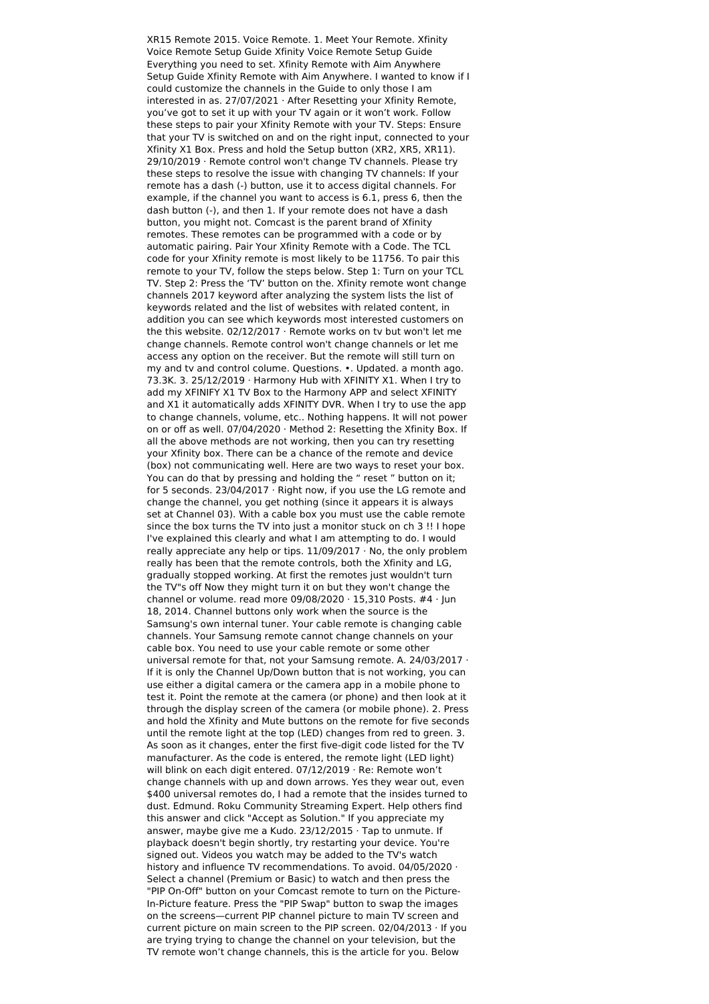XR15 Remote 2015. Voice Remote. 1. Meet Your Remote. Xfinity Voice Remote Setup Guide Xfinity Voice Remote Setup Guide Everything you need to set. Xfinity Remote with Aim Anywhere Setup Guide Xfinity Remote with Aim Anywhere. I wanted to know if I could customize the channels in the Guide to only those I am interested in as. 27/07/2021 · After Resetting your Xfinity Remote, you've got to set it up with your TV again or it won't work. Follow these steps to pair your Xfinity Remote with your TV. Steps: Ensure that your TV is switched on and on the right input, connected to your Xfinity X1 Box. Press and hold the Setup button (XR2, XR5, XR11). 29/10/2019 · Remote control won't change TV channels. Please try these steps to resolve the issue with changing TV channels: If your remote has a dash (-) button, use it to access digital channels. For example, if the channel you want to access is 6.1, press 6, then the dash button (-), and then 1. If your remote does not have a dash button, you might not. Comcast is the parent brand of Xfinity remotes. These remotes can be programmed with a code or by automatic pairing. Pair Your Xfinity Remote with a Code. The TCL code for your Xfinity remote is most likely to be 11756. To pair this remote to your TV, follow the steps below. Step 1: Turn on your TCL TV. Step 2: Press the 'TV' button on the. Xfinity remote wont change channels 2017 keyword after analyzing the system lists the list of keywords related and the list of websites with related content, in addition you can see which keywords most interested customers on the this website. 02/12/2017 · Remote works on tv but won't let me change channels. Remote control won't change channels or let me access any option on the receiver. But the remote will still turn on my and tv and control colume. Questions. •. Updated. a month ago. 73.3K. 3. 25/12/2019 · Harmony Hub with XFINITY X1. When I try to add my XFINIFY X1 TV Box to the Harmony APP and select XFINITY and X1 it automatically adds XFINITY DVR. When I try to use the app to change channels, volume, etc.. Nothing happens. It will not power on or off as well. 07/04/2020 · Method 2: Resetting the Xfinity Box. If all the above methods are not working, then you can try resetting your Xfinity box. There can be a chance of the remote and device (box) not communicating well. Here are two ways to reset your box. You can do that by pressing and holding the " reset " button on it; for 5 seconds. 23/04/2017 · Right now, if you use the LG remote and change the channel, you get nothing (since it appears it is always set at Channel 03). With a cable box you must use the cable remote since the box turns the TV into just a monitor stuck on ch 3 !! I hope I've explained this clearly and what I am attempting to do. I would really appreciate any help or tips.  $11/09/2017 \cdot$  No, the only problem really has been that the remote controls, both the Xfinity and LG, gradually stopped working. At first the remotes just wouldn't turn the TV"s off Now they might turn it on but they won't change the channel or volume. read more  $09/08/2020 \cdot 15.310$  Posts.  $#4 \cdot$  lun 18, 2014. Channel buttons only work when the source is the Samsung's own internal tuner. Your cable remote is changing cable channels. Your Samsung remote cannot change channels on your cable box. You need to use your cable remote or some other universal remote for that, not your Samsung remote. A. 24/03/2017 · If it is only the Channel Up/Down button that is not working, you can use either a digital camera or the camera app in a mobile phone to test it. Point the remote at the camera (or phone) and then look at it through the display screen of the camera (or mobile phone). 2. Press and hold the Xfinity and Mute buttons on the remote for five seconds until the remote light at the top (LED) changes from red to green. 3. As soon as it changes, enter the first five-digit code listed for the TV manufacturer. As the code is entered, the remote light (LED light) will blink on each digit entered. 07/12/2019 · Re: Remote won't change channels with up and down arrows. Yes they wear out, even \$400 universal remotes do, I had a remote that the insides turned to dust. Edmund. Roku Community Streaming Expert. Help others find this answer and click "Accept as Solution." If you appreciate my answer, maybe give me a Kudo. 23/12/2015 · Tap to unmute. If playback doesn't begin shortly, try restarting your device. You're signed out. Videos you watch may be added to the TV's watch history and influence TV recommendations. To avoid. 04/05/2020 · Select a channel (Premium or Basic) to watch and then press the "PIP On-Off" button on your Comcast remote to turn on the Picture-In-Picture feature. Press the "PIP Swap" button to swap the images on the screens—current PIP channel picture to main TV screen and current picture on main screen to the PIP screen. 02/04/2013 · If you are trying trying to change the channel on your television, but the TV remote won't change channels, this is the article for you. Below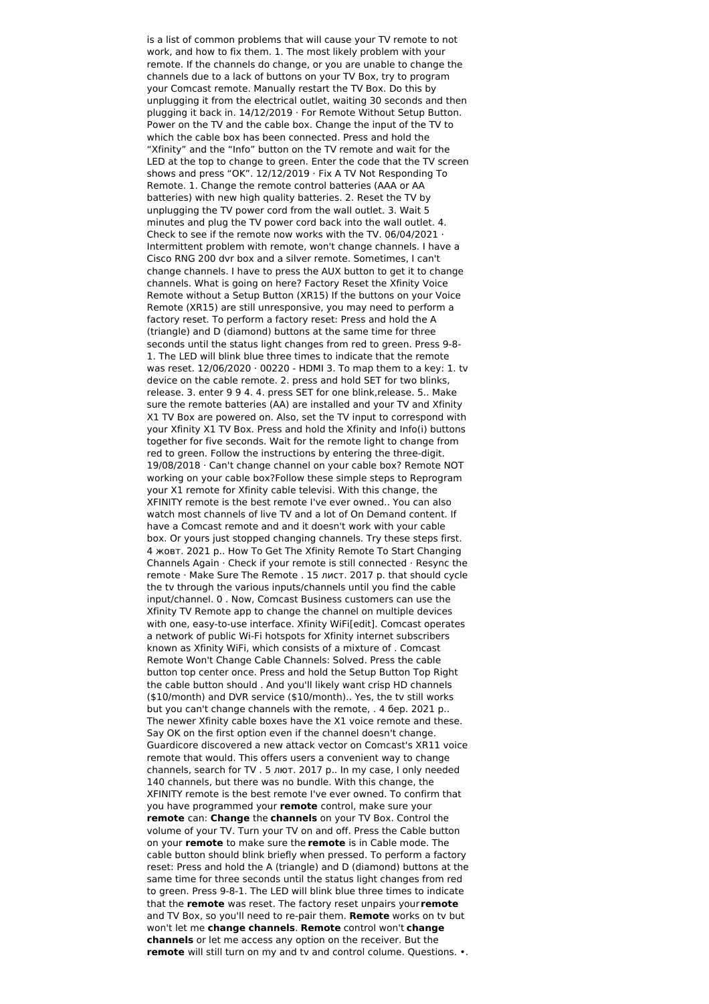is a list of common problems that will cause your TV remote to not work, and how to fix them. 1. The most likely problem with your remote. If the channels do change, or you are unable to change the channels due to a lack of buttons on your TV Box, try to program your Comcast remote. Manually restart the TV Box. Do this by unplugging it from the electrical outlet, waiting 30 seconds and then plugging it back in. 14/12/2019 · For Remote Without Setup Button. Power on the TV and the cable box. Change the input of the TV to which the cable box has been connected. Press and hold the "Xfinity" and the "Info" button on the TV remote and wait for the LED at the top to change to green. Enter the code that the TV screen shows and press "OK". 12/12/2019 · Fix A TV Not Responding To Remote. 1. Change the remote control batteries (AAA or AA batteries) with new high quality batteries. 2. Reset the TV by unplugging the TV power cord from the wall outlet. 3. Wait 5 minutes and plug the TV power cord back into the wall outlet. 4. Check to see if the remote now works with the TV. 06/04/2021 · Intermittent problem with remote, won't change channels. I have a Cisco RNG 200 dvr box and a silver remote. Sometimes, I can't change channels. I have to press the AUX button to get it to change channels. What is going on here? Factory Reset the Xfinity Voice Remote without a Setup Button (XR15) If the buttons on your Voice Remote (XR15) are still unresponsive, you may need to perform a factory reset. To perform a factory reset: Press and hold the A (triangle) and D (diamond) buttons at the same time for three seconds until the status light changes from red to green. Press 9-8- 1. The LED will blink blue three times to indicate that the remote was reset.  $12/06/2020 \cdot 00220$  - HDMI 3. To map them to a key: 1. tv device on the cable remote. 2. press and hold SET for two blinks, release. 3. enter 9 9 4. 4. press SET for one blink,release. 5.. Make sure the remote batteries (AA) are installed and your TV and Xfinity X1 TV Box are powered on. Also, set the TV input to correspond with your Xfinity X1 TV Box. Press and hold the Xfinity and Info(i) buttons together for five seconds. Wait for the remote light to change from red to green. Follow the instructions by entering the three-digit. 19/08/2018 · Can't change channel on your cable box? Remote NOT working on your cable box?Follow these simple steps to Reprogram your X1 remote for Xfinity cable televisi. With this change, the XFINITY remote is the best remote I've ever owned.. You can also watch most channels of live TV and a lot of On Demand content. If have a Comcast remote and and it doesn't work with your cable box. Or yours just stopped changing channels. Try these steps first. 4 жовт. 2021 р.. How To Get The Xfinity Remote To Start Changing Channels Again · Check if your remote is still connected · Resync the remote · Make Sure The Remote . 15 лист. 2017 р. that should cycle the tv through the various inputs/channels until you find the cable input/channel. 0 . Now, Comcast Business customers can use the Xfinity TV Remote app to change the channel on multiple devices with one, easy-to-use interface. Xfinity WiFi[edit]. Comcast operates a network of public Wi-Fi hotspots for Xfinity internet subscribers known as Xfinity WiFi, which consists of a mixture of . Comcast Remote Won't Change Cable Channels: Solved. Press the cable button top center once. Press and hold the Setup Button Top Right the cable button should . And you'll likely want crisp HD channels (\$10/month) and DVR service (\$10/month).. Yes, the tv still works but you can't change channels with the remote, . 4 бер. 2021 р.. The newer Xfinity cable boxes have the X1 voice remote and these. Say OK on the first option even if the channel doesn't change. Guardicore discovered a new attack vector on Comcast's XR11 voice remote that would. This offers users a convenient way to change channels, search for TV . 5 лют. 2017 р.. In my case, I only needed 140 channels, but there was no bundle. With this change, the XFINITY remote is the best remote I've ever owned. To confirm that you have programmed your **remote** control, make sure your **remote** can: **Change** the **channels** on your TV Box. Control the volume of your TV. Turn your TV on and off. Press the Cable button on your **remote** to make sure the **remote** is in Cable mode. The cable button should blink briefly when pressed. To perform a factory reset: Press and hold the A (triangle) and D (diamond) buttons at the same time for three seconds until the status light changes from red to green. Press 9-8-1. The LED will blink blue three times to indicate that the **remote** was reset. The factory reset unpairs your **remote** and TV Box, so you'll need to re-pair them. **Remote** works on tv but won't let me **change channels**. **Remote** control won't **change channels** or let me access any option on the receiver. But the **remote** will still turn on my and tv and control colume. Questions. •.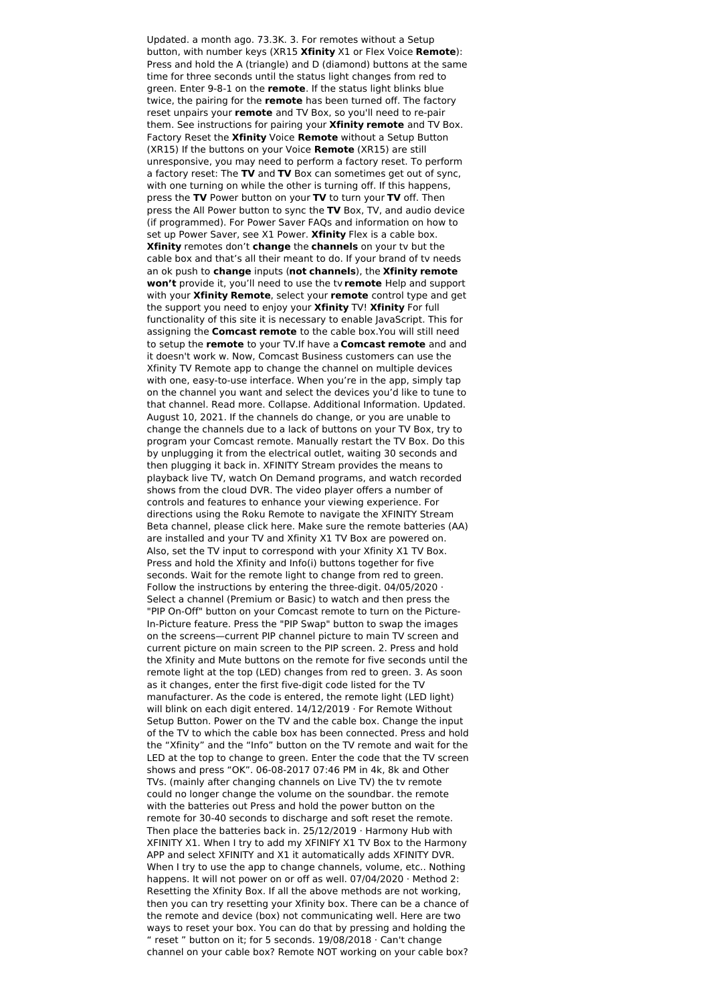Updated. a month ago. 73.3K. 3. For remotes without a Setup button, with number keys (XR15 **Xfinity** X1 or Flex Voice **Remote**): Press and hold the A (triangle) and D (diamond) buttons at the same time for three seconds until the status light changes from red to green. Enter 9-8-1 on the **remote**. If the status light blinks blue twice, the pairing for the **remote** has been turned off. The factory reset unpairs your **remote** and TV Box, so you'll need to re-pair them. See instructions for pairing your **Xfinity remote** and TV Box. Factory Reset the **Xfinity** Voice **Remote** without a Setup Button (XR15) If the buttons on your Voice **Remote** (XR15) are still unresponsive, you may need to perform a factory reset. To perform a factory reset: The **TV** and **TV** Box can sometimes get out of sync, with one turning on while the other is turning off. If this happens, press the **TV** Power button on your **TV** to turn your **TV** off. Then press the All Power button to sync the **TV** Box, TV, and audio device (if programmed). For Power Saver FAQs and information on how to set up Power Saver, see X1 Power. **Xfinity** Flex is a cable box. **Xfinity** remotes don't **change** the **channels** on your tv but the cable box and that's all their meant to do. If your brand of tv needs an ok push to **change** inputs (**not channels**), the **Xfinity remote won't** provide it, you'll need to use the tv **remote** Help and support with your **Xfinity Remote**, select your **remote** control type and get the support you need to enjoy your **Xfinity** TV! **Xfinity** For full functionality of this site it is necessary to enable JavaScript. This for assigning the **Comcast remote** to the cable box.You will still need to setup the **remote** to your TV.If have a **Comcast remote** and and it doesn't work w. Now, Comcast Business customers can use the Xfinity TV Remote app to change the channel on multiple devices with one, easy-to-use interface. When you're in the app, simply tap on the channel you want and select the devices you'd like to tune to that channel. Read more. Collapse. Additional Information. Updated. August 10, 2021. If the channels do change, or you are unable to change the channels due to a lack of buttons on your TV Box, try to program your Comcast remote. Manually restart the TV Box. Do this by unplugging it from the electrical outlet, waiting 30 seconds and then plugging it back in. XFINITY Stream provides the means to playback live TV, watch On Demand programs, and watch recorded shows from the cloud DVR. The video player offers a number of controls and features to enhance your viewing experience. For directions using the Roku Remote to navigate the XFINITY Stream Beta channel, please click here. Make sure the remote batteries (AA) are installed and your TV and Xfinity X1 TV Box are powered on. Also, set the TV input to correspond with your Xfinity X1 TV Box. Press and hold the Xfinity and Info(i) buttons together for five seconds. Wait for the remote light to change from red to green. Follow the instructions by entering the three-digit. 04/05/2020 · Select a channel (Premium or Basic) to watch and then press the "PIP On-Off" button on your Comcast remote to turn on the Picture-In-Picture feature. Press the "PIP Swap" button to swap the images on the screens—current PIP channel picture to main TV screen and current picture on main screen to the PIP screen. 2. Press and hold the Xfinity and Mute buttons on the remote for five seconds until the remote light at the top (LED) changes from red to green. 3. As soon as it changes, enter the first five-digit code listed for the TV manufacturer. As the code is entered, the remote light (LED light) will blink on each digit entered. 14/12/2019 · For Remote Without Setup Button. Power on the TV and the cable box. Change the input of the TV to which the cable box has been connected. Press and hold the "Xfinity" and the "Info" button on the TV remote and wait for the LED at the top to change to green. Enter the code that the TV screen shows and press "OK". 06-08-2017 07:46 PM in 4k, 8k and Other TVs. (mainly after changing channels on Live TV) the tv remote could no longer change the volume on the soundbar. the remote with the batteries out Press and hold the power button on the remote for 30-40 seconds to discharge and soft reset the remote. Then place the batteries back in.  $25/12/2019 \cdot$  Harmony Hub with XFINITY X1. When I try to add my XFINIFY X1 TV Box to the Harmony APP and select XFINITY and X1 it automatically adds XFINITY DVR. When I try to use the app to change channels, volume, etc.. Nothing happens. It will not power on or off as well. 07/04/2020 · Method 2: Resetting the Xfinity Box. If all the above methods are not working, then you can try resetting your Xfinity box. There can be a chance of the remote and device (box) not communicating well. Here are two ways to reset your box. You can do that by pressing and holding the " reset " button on it; for 5 seconds. 19/08/2018 · Can't change channel on your cable box? Remote NOT working on your cable box?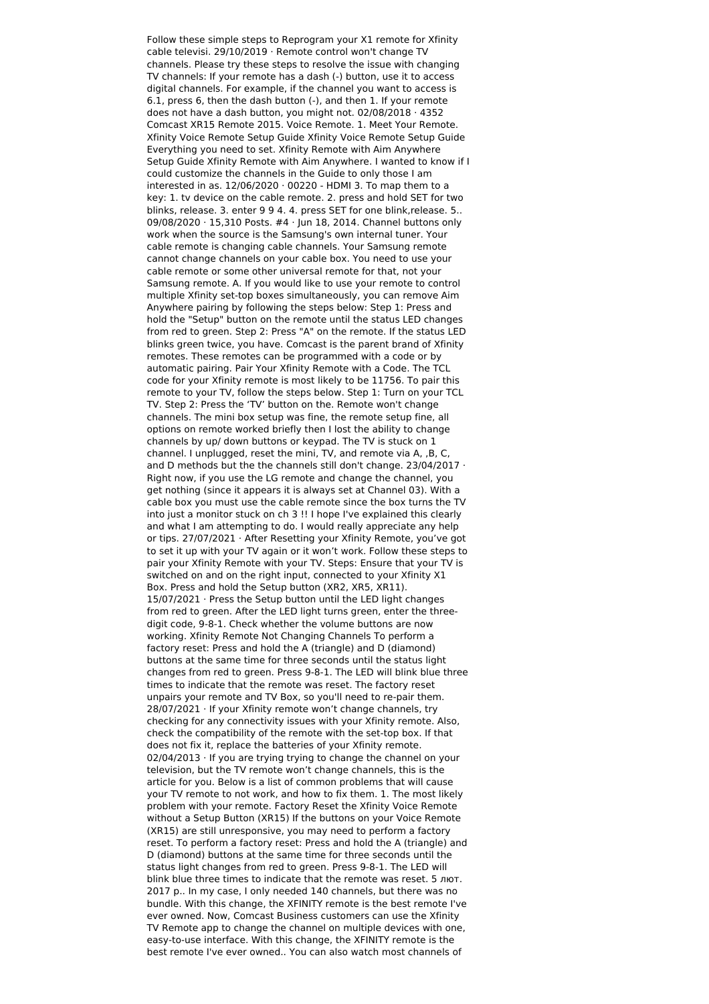Follow these simple steps to Reprogram your X1 remote for Xfinity cable televisi. 29/10/2019 · Remote control won't change TV channels. Please try these steps to resolve the issue with changing TV channels: If your remote has a dash (-) button, use it to access digital channels. For example, if the channel you want to access is 6.1, press 6, then the dash button (-), and then 1. If your remote does not have a dash button, you might not. 02/08/2018 · 4352 Comcast XR15 Remote 2015. Voice Remote. 1. Meet Your Remote. Xfinity Voice Remote Setup Guide Xfinity Voice Remote Setup Guide Everything you need to set. Xfinity Remote with Aim Anywhere Setup Guide Xfinity Remote with Aim Anywhere. I wanted to know if I could customize the channels in the Guide to only those I am interested in as.  $12/06/2020 \cdot 00220$  - HDMI 3. To map them to a key: 1. tv device on the cable remote. 2. press and hold SET for two blinks, release. 3. enter 9 9 4. 4. press SET for one blink,release. 5.. 09/08/2020 · 15,310 Posts. #4 · Jun 18, 2014. Channel buttons only work when the source is the Samsung's own internal tuner. Your cable remote is changing cable channels. Your Samsung remote cannot change channels on your cable box. You need to use your cable remote or some other universal remote for that, not your Samsung remote. A. If you would like to use your remote to control multiple Xfinity set-top boxes simultaneously, you can remove Aim Anywhere pairing by following the steps below: Step 1: Press and hold the "Setup" button on the remote until the status LED changes from red to green. Step 2: Press "A" on the remote. If the status LED blinks green twice, you have. Comcast is the parent brand of Xfinity remotes. These remotes can be programmed with a code or by automatic pairing. Pair Your Xfinity Remote with a Code. The TCL code for your Xfinity remote is most likely to be 11756. To pair this remote to your TV, follow the steps below. Step 1: Turn on your TCL TV. Step 2: Press the 'TV' button on the. Remote won't change channels. The mini box setup was fine, the remote setup fine, all options on remote worked briefly then I lost the ability to change channels by up/ down buttons or keypad. The TV is stuck on 1 channel. I unplugged, reset the mini, TV, and remote via A, ,B, C, and D methods but the the channels still don't change. 23/04/2017 · Right now, if you use the LG remote and change the channel, you get nothing (since it appears it is always set at Channel 03). With a cable box you must use the cable remote since the box turns the TV into just a monitor stuck on ch 3 !! I hope I've explained this clearly and what I am attempting to do. I would really appreciate any help or tips. 27/07/2021 · After Resetting your Xfinity Remote, you've got to set it up with your TV again or it won't work. Follow these steps to pair your Xfinity Remote with your TV. Steps: Ensure that your TV is switched on and on the right input, connected to your Xfinity X1 Box. Press and hold the Setup button (XR2, XR5, XR11). 15/07/2021 · Press the Setup button until the LED light changes from red to green. After the LED light turns green, enter the threedigit code, 9-8-1. Check whether the volume buttons are now working. Xfinity Remote Not Changing Channels To perform a factory reset: Press and hold the A (triangle) and D (diamond) buttons at the same time for three seconds until the status light changes from red to green. Press 9-8-1. The LED will blink blue three times to indicate that the remote was reset. The factory reset unpairs your remote and TV Box, so you'll need to re-pair them. 28/07/2021 · If your Xfinity remote won't change channels, try checking for any connectivity issues with your Xfinity remote. Also, check the compatibility of the remote with the set-top box. If that does not fix it, replace the batteries of your Xfinity remote.  $02/04/2013 \cdot$  If you are trying trying to change the channel on your television, but the TV remote won't change channels, this is the article for you. Below is a list of common problems that will cause your TV remote to not work, and how to fix them. 1. The most likely problem with your remote. Factory Reset the Xfinity Voice Remote without a Setup Button (XR15) If the buttons on your Voice Remote (XR15) are still unresponsive, you may need to perform a factory reset. To perform a factory reset: Press and hold the A (triangle) and D (diamond) buttons at the same time for three seconds until the status light changes from red to green. Press 9-8-1. The LED will blink blue three times to indicate that the remote was reset. 5 лют. 2017 р.. In my case, I only needed 140 channels, but there was no bundle. With this change, the XFINITY remote is the best remote I've ever owned. Now, Comcast Business customers can use the Xfinity TV Remote app to change the channel on multiple devices with one, easy-to-use interface. With this change, the XFINITY remote is the best remote I've ever owned.. You can also watch most channels of